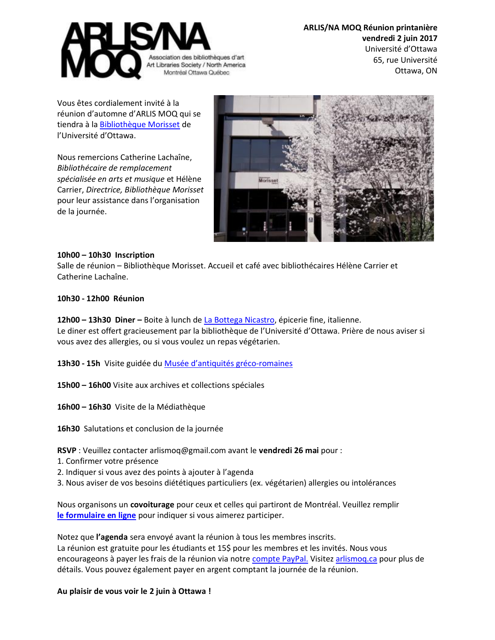

**ARLIS/NA MOQ Réunion printanière vendredi 2 juin 2017** Université d'Ottawa 65, rue Université Ottawa, ON

Vous êtes cordialement invité à la réunion d'automne d'ARLIS MOQ qui se tiendra à l[a Bibliothèque Morisset](https://biblio.uottawa.ca/en/morisset-library) de l'Université d'Ottawa.

Nous remercions Catherine Lachaîne, *Bibliothécaire de remplacement spécialisée en arts et musique* et Hélène Carrier, *Directrice, Bibliothèque Morisset* pour leur assistance dans l'organisation de la journée.



## **10h00 – 10h30 Inscription**

Salle de réunion – Bibliothèque Morisset. Accueil et café avec bibliothécaires Hélène Carrier et Catherine Lachaîne.

## **10h30 - 12h00 Réunion**

**12h00 – 13h30 Diner –** Boite à lunch d[e La Bottega](https://www.labottega.ca/) Nicastro, épicerie fine, italienne. Le diner est offert gracieusement par la bibliothèque de l'Université d'Ottawa. Prière de nous aviser si vous avez des allergies, ou si vous voulez un repas végétarien.

**13h30 - 15h** Visite guidée du [Musée d'antiquités gréco](https://arts.uottawa.ca/cla-srs/fr/musee)-romaines

**15h00 – 16h00** Visite aux archives et collections spéciales

**16h00 – 16h30** Visite de la Médiathèque

**16h30** Salutations et conclusion de la journée

**RSVP** : Veuillez contacter arlismoq@gmail.com avant le **vendredi 26 mai** pour :

- 1. Confirmer votre présence
- 2. Indiquer si vous avez des points à ajouter à l'agenda
- 3. Nous aviser de vos besoins diététiques particuliers (ex. végétarien) allergies ou intolérances

Nous organisons un **covoiturage** pour ceux et celles qui partiront de Montréal. Veuillez remplir **[le formulaire en ligne](https://docs.google.com/spreadsheets/d/1-9NIba0lz8TeJOmJkCRUm3hpxDHZuvGC8bmHaQIntZc/edit#gid=0)** pour indiquer si vous aimerez participer.

Notez que **l'agenda** sera envoyé avant la réunion à tous les membres inscrits. La réunion est gratuite pour les étudiants et 15\$ pour les membres et les invités. Nous vous encourageons à payer les frais de la réunion via notre [compte PayPal.](http://arlismoq.ca/reunion-automnale-2016/langswitch_lang/en/) Visitez [arlismoq.ca](http://arlismoq.ca/reunion-printaniere-2017/langswitch_lang/fr/) pour plus de détails. Vous pouvez également payer en argent comptant la journée de la réunion.

## **Au plaisir de vous voir le 2 juin à Ottawa !**